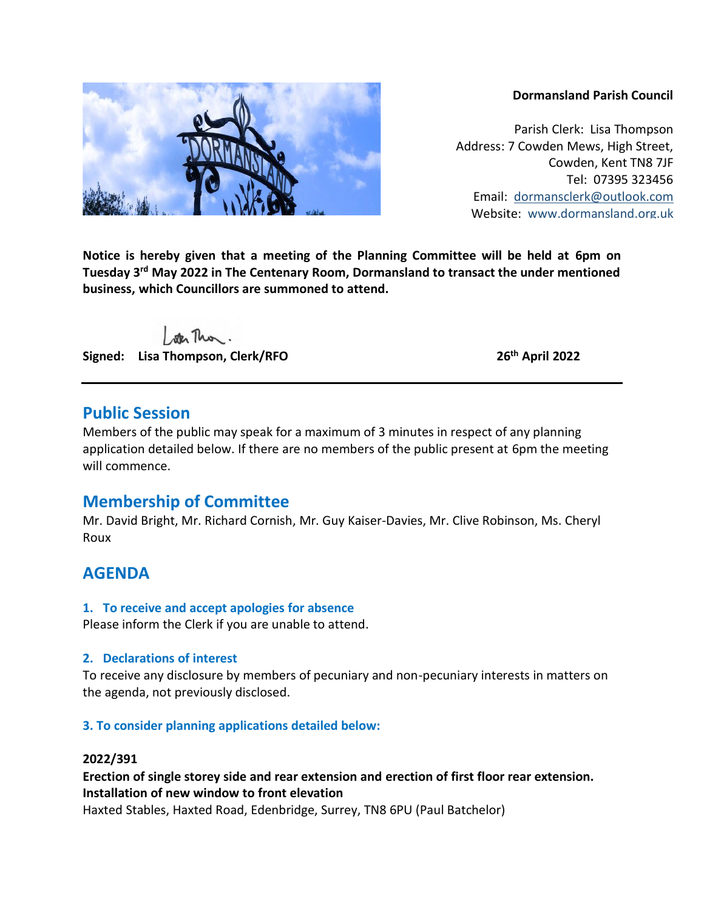#### **Dormansland Parish Council**

Parish Clerk: Lisa Thompson Address: 7 Cowden Mews, High Street, Cowden, Kent TN8 7JF Tel: 07395 323456 Email: [dormansclerk@outlook.com](mailto:dormansclerk@outlook.com) Website: [www.dormansland.org.uk](http://www.dormansland.org.uk/)

**Notice is hereby given that a meeting of the Planning Committee will be held at 6pm on**  Tuesday 3<sup>rd</sup> May 2022 in The Centenary Room, Dormansland to transact the under mentioned **business, which Councillors are summoned to attend.**

ster This.

**Signed: Lisa Thompson, Clerk/RFO 26th April 2022**

## **Public Session**

Members of the public may speak for a maximum of 3 minutes in respect of any planning application detailed below. If there are no members of the public present at 6pm the meeting will commence.

# **Membership of Committee**

Mr. David Bright, Mr. Richard Cornish, Mr. Guy Kaiser-Davies, Mr. Clive Robinson, Ms. Cheryl Roux

# **AGENDA**

### **1. To receive and accept apologies for absence**

Please inform the Clerk if you are unable to attend.

### **2. Declarations of interest**

To receive any disclosure by members of pecuniary and non-pecuniary interests in matters on the agenda, not previously disclosed.

## **3. To consider planning applications detailed below:**

### **2022/391**

## **Erection of single storey side and rear extension and erection of first floor rear extension. Installation of new window to front elevation**

Haxted Stables, Haxted Road, Edenbridge, Surrey, TN8 6PU (Paul Batchelor)